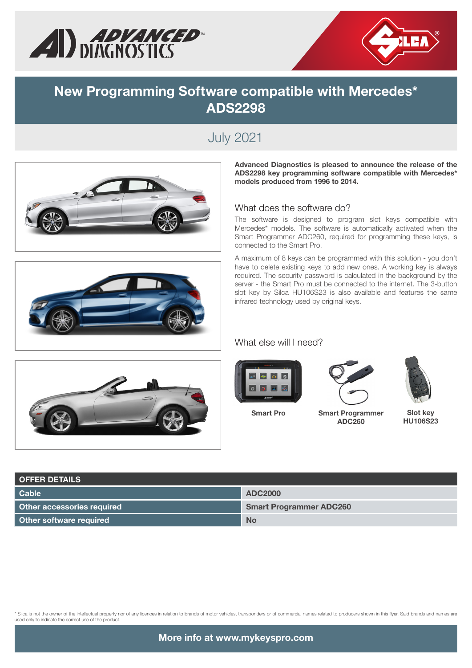



### **New Programming Software compatible with Mercedes\* ADS2298**

## July 2021



Advanced Diagnostics is pleased to announce the release of the ADS2298 key programming software compatible with Mercedes\* models produced from 1996 to 2014.

#### What does the software do?

The software is designed to program slot keys compatible with Mercedes\* models. The software is automatically activated when the Smart Programmer ADC260, required for programming these keys, is connected to the Smart Pro.

A maximum of 8 keys can be programmed with this solution - you don't have to delete existing keys to add new ones. A working key is always required. The security password is calculated in the background by the server - the Smart Pro must be connected to the internet. The 3-button slot key by Silca HU106S23 is also available and features the same infrared technology used by original keys.

#### What else will I need?





Smart Pro





Smart Programmer ADC260

Slot key HU106S23

| <b>OFFER DETAILS</b>              |                                |  |  |  |  |  |  |  |
|-----------------------------------|--------------------------------|--|--|--|--|--|--|--|
| Cable                             | <b>ADC2000</b>                 |  |  |  |  |  |  |  |
| <b>Other accessories required</b> | <b>Smart Programmer ADC260</b> |  |  |  |  |  |  |  |
| Other software required           | <b>No</b>                      |  |  |  |  |  |  |  |

\* Silca is not the owner of the intellectual property nor of any licences in relation to brands of motor vehicles, transponders or of commercial names related to producers shown in this flyer. Said brands and names are<br>use

More info at www.mykeyspro.com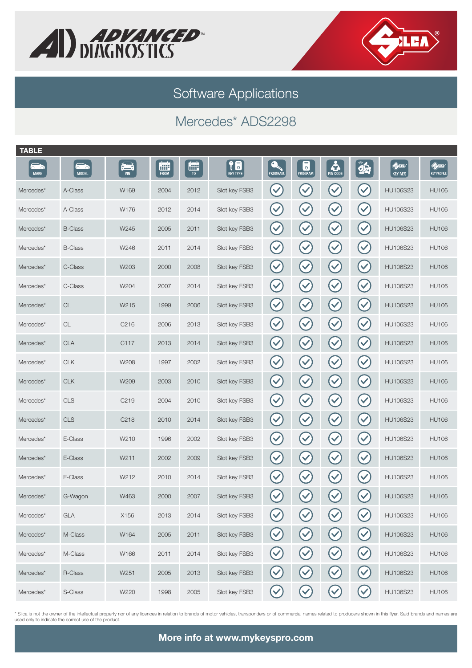



Software Applications

# Mercedes\* ADS2298

| <b>TABLE</b>             |                            |                 |                  |                     |                       |                       |                                   |                           |                      |                                        |                                                       |
|--------------------------|----------------------------|-----------------|------------------|---------------------|-----------------------|-----------------------|-----------------------------------|---------------------------|----------------------|----------------------------------------|-------------------------------------------------------|
| <b>nd</b><br><b>MAKE</b> | <b>620</b><br><b>MODEL</b> | $\sum_{\vee n}$ | Ē<br><b>FROM</b> | 雦<br>T <sub>0</sub> | 18<br><b>KEY TYPE</b> | $\bullet$<br>PROGRAM. | 6<br>PROGRAM.                     | <b>PIN CODE</b>           | $\hat{\mathbf{z}}$   | $\bigoplus_{i=1}^n$<br><b>KEY REF.</b> | $\bigoplus\limits_{i=1}^n\mathbb{Z}_p$<br>KEY PROFILE |
| Mercedes*                | A-Class                    | W169            | 2004             | 2012                | Slot key FSB3         | $\blacktriangledown$  | $\blacktriangledown$              | $\checkmark$              | $\blacktriangledown$ | <b>HU106S23</b>                        | <b>HU106</b>                                          |
| Mercedes*                | A-Class                    | W176            | 2012             | 2014                | Slot key FSB3         | $\blacktriangledown$  | $\blacktriangledown$              | $\blacktriangledown$      | $\checkmark$         | HU106S23                               | <b>HU106</b>                                          |
| Mercedes*                | <b>B-Class</b>             | W245            | 2005             | 2011                | Slot key FSB3         | $\blacktriangledown$  | $\blacktriangledown$              | $\checkmark$              | $\checkmark$         | HU106S23                               | <b>HU106</b>                                          |
| Mercedes*                | <b>B-Class</b>             | W246            | 2011             | 2014                | Slot key FSB3         | $\blacktriangledown$  | $\blacktriangledown$              | $\checkmark$              | $(\checkmark)$       | HU106S23                               | <b>HU106</b>                                          |
| Mercedes*                | C-Class                    | W203            | 2000             | 2008                | Slot key FSB3         | $\blacktriangledown$  | $\blacktriangledown$              | $\blacktriangledown$      | $\checkmark$         | <b>HU106S23</b>                        | <b>HU106</b>                                          |
| Mercedes*                | C-Class                    | W204            | 2007             | 2014                | Slot key FSB3         | $\blacktriangledown$  | $\checkmark$                      | $\checkmark$              | $(\checkmark)$       | HU106S23                               | <b>HU106</b>                                          |
| Mercedes*                | $\mathsf{CL}$              | W215            | 1999             | 2006                | Slot key FSB3         | $\blacktriangledown$  | $\checkmark$                      | $\blacktriangledown$      | $(\checkmark)$       | <b>HU106S23</b>                        | <b>HU106</b>                                          |
| Mercedes*                | $\mathsf{CL}$              | C216            | 2006             | 2013                | Slot key FSB3         | $\checkmark$          | $\blacktriangledown$              | $\checkmark$              | $(\checkmark$        | HU106S23                               | <b>HU106</b>                                          |
| Mercedes*                | <b>CLA</b>                 | C117            | 2013             | 2014                | Slot key FSB3         | $\blacktriangledown$  | $\checkmark$                      | $\blacktriangledown$      | $(\checkmark)$       | <b>HU106S23</b>                        | <b>HU106</b>                                          |
| Mercedes*                | <b>CLK</b>                 | W208            | 1997             | 2002                | Slot key FSB3         | $\blacktriangledown$  | $\blacktriangledown$              | $\checkmark$              | $(\checkmark$        | HU106S23                               | <b>HU106</b>                                          |
| Mercedes*                | <b>CLK</b>                 | W209            | 2003             | 2010                | Slot key FSB3         | $\blacktriangledown$  | $\blacktriangledown$              | $\blacktriangledown$      | $(\checkmark)$       | <b>HU106S23</b>                        | <b>HU106</b>                                          |
| Mercedes*                | <b>CLS</b>                 | C219            | 2004             | 2010                | Slot key FSB3         | $(\checkmark$         | $\blacktriangledown$              | $\checkmark$              | $(\checkmark$        | HU106S23                               | <b>HU106</b>                                          |
| Mercedes*                | <b>CLS</b>                 | C218            | 2010             | 2014                | Slot key FSB3         | $(\checkmark)$        | $\checkmark$                      | $\checkmark$              | $(\checkmark$        | <b>HU106S23</b>                        | <b>HU106</b>                                          |
| Mercedes*                | E-Class                    | W210            | 1996             | 2002                | Slot key FSB3         | $(\checkmark$         | $\blacktriangledown$              | $\left(\checkmark\right)$ | $(\checkmark$        | HU106S23                               | <b>HU106</b>                                          |
| Mercedes*                | E-Class                    | W211            | 2002             | 2009                | Slot key FSB3         | $(\checkmark$         | $\blacktriangledown$              | $\blacktriangledown$      | $(\checkmark)$       | <b>HU106S23</b>                        | <b>HU106</b>                                          |
| Mercedes*                | E-Class                    | W212            | 2010             | 2014                | Slot key FSB3         | $(\checkmark$         | $\blacktriangledown$              | $\checkmark$              | $(\checkmark$        | <b>HU106S23</b>                        | <b>HU106</b>                                          |
| Mercedes*                | G-Wagon                    | W463            | 2000             | 2007                | Slot key FSB3         | $\checkmark$          | $\blacktriangledown$              | $\blacktriangledown$      | $\checkmark$         | <b>HU106S23</b>                        | <b>HU106</b>                                          |
| Mercedes*                | <b>GLA</b>                 | X156            | 2013             | 2014                | Slot key FSB3         |                       |                                   | $\blacktriangledown$      | $\blacktriangledown$ | <b>HU106S23</b>                        | <b>HU106</b>                                          |
| Mercedes*                | M-Class                    | W164            | 2005             | 2011                | Slot key FSB3         | $\blacktriangledown$  | $\left(\checkmark\right)$         | $\left(\checkmark\right)$ | $(\vee)$             | <b>HU106S23</b>                        | <b>HU106</b>                                          |
| Mercedes*                | M-Class                    | W166            | 2011             | 2014                | Slot key FSB3         | $\blacktriangledown$  | $(\vee)$                          | $\bigcirc$                | $\bigcirc$           | <b>HU106S23</b>                        | <b>HU106</b>                                          |
| Mercedes*                | R-Class                    | W251            | 2005             | 2013                | Slot key FSB3         | $\blacktriangledown$  | $\left(\blacktriangledown\right)$ | $\left(\checkmark\right)$ | $(\vee)$             | <b>HU106S23</b>                        | <b>HU106</b>                                          |
| Mercedes*                | S-Class                    | W220            | 1998             | 2005                | Slot key FSB3         | $\blacktriangledown$  | $\blacktriangledown$              | $\checkmark$              | $(\vee)$             | <b>HU106S23</b>                        | <b>HU106</b>                                          |

\* Silca is not the owner of the intellectual property nor of any licences in relation to brands of motor vehicles, transponders or of commercial names related to producers shown in this flyer. Said brands and names are<br>use